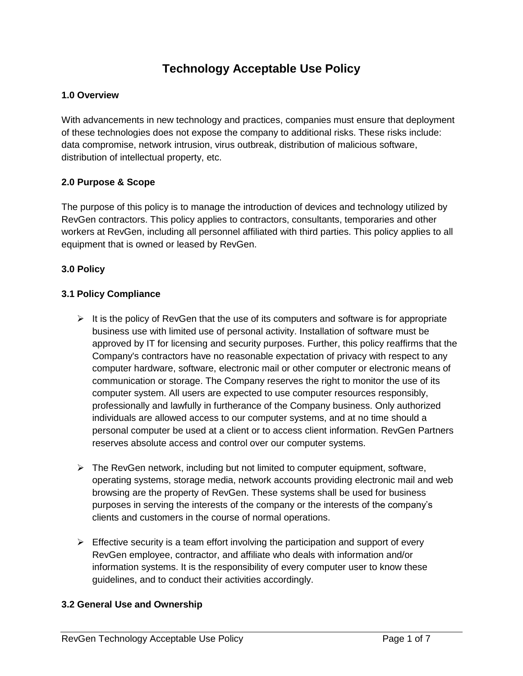# **Technology Acceptable Use Policy**

#### **1.0 Overview**

With advancements in new technology and practices, companies must ensure that deployment of these technologies does not expose the company to additional risks. These risks include: data compromise, network intrusion, virus outbreak, distribution of malicious software, distribution of intellectual property, etc.

#### **2.0 Purpose & Scope**

The purpose of this policy is to manage the introduction of devices and technology utilized by RevGen contractors. This policy applies to contractors, consultants, temporaries and other workers at RevGen, including all personnel affiliated with third parties. This policy applies to all equipment that is owned or leased by RevGen.

## **3.0 Policy**

## **3.1 Policy Compliance**

- $\triangleright$  It is the policy of RevGen that the use of its computers and software is for appropriate business use with limited use of personal activity. Installation of software must be approved by IT for licensing and security purposes. Further, this policy reaffirms that the Company's contractors have no reasonable expectation of privacy with respect to any computer hardware, software, electronic mail or other computer or electronic means of communication or storage. The Company reserves the right to monitor the use of its computer system. All users are expected to use computer resources responsibly, professionally and lawfully in furtherance of the Company business. Only authorized individuals are allowed access to our computer systems, and at no time should a personal computer be used at a client or to access client information. RevGen Partners reserves absolute access and control over our computer systems.
- $\triangleright$  The RevGen network, including but not limited to computer equipment, software, operating systems, storage media, network accounts providing electronic mail and web browsing are the property of RevGen. These systems shall be used for business purposes in serving the interests of the company or the interests of the company's clients and customers in the course of normal operations.
- $\triangleright$  Effective security is a team effort involving the participation and support of every RevGen employee, contractor, and affiliate who deals with information and/or information systems. It is the responsibility of every computer user to know these guidelines, and to conduct their activities accordingly.

#### **3.2 General Use and Ownership**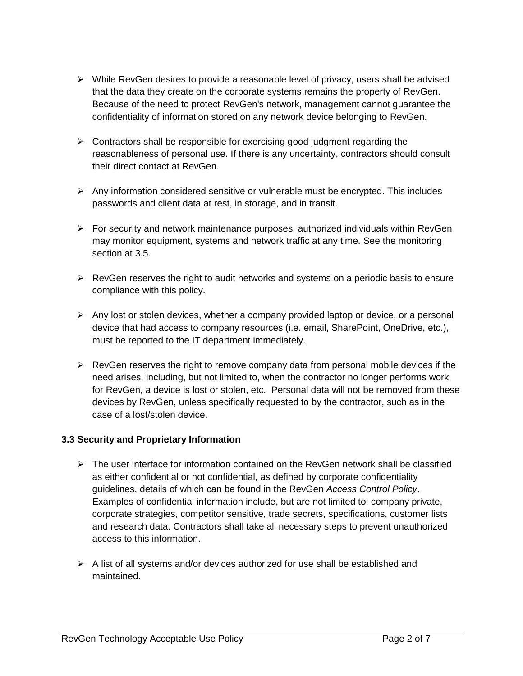- ➢ While RevGen desires to provide a reasonable level of privacy, users shall be advised that the data they create on the corporate systems remains the property of RevGen. Because of the need to protect RevGen's network, management cannot guarantee the confidentiality of information stored on any network device belonging to RevGen.
- $\triangleright$  Contractors shall be responsible for exercising good judgment regarding the reasonableness of personal use. If there is any uncertainty, contractors should consult their direct contact at RevGen.
- $\triangleright$  Any information considered sensitive or vulnerable must be encrypted. This includes passwords and client data at rest, in storage, and in transit.
- ➢ For security and network maintenance purposes, authorized individuals within RevGen may monitor equipment, systems and network traffic at any time. See the monitoring section at 3.5.
- $\triangleright$  RevGen reserves the right to audit networks and systems on a periodic basis to ensure compliance with this policy.
- $\triangleright$  Any lost or stolen devices, whether a company provided laptop or device, or a personal device that had access to company resources (i.e. email, SharePoint, OneDrive, etc.), must be reported to the IT department immediately.
- $\triangleright$  RevGen reserves the right to remove company data from personal mobile devices if the need arises, including, but not limited to, when the contractor no longer performs work for RevGen, a device is lost or stolen, etc. Personal data will not be removed from these devices by RevGen, unless specifically requested to by the contractor, such as in the case of a lost/stolen device.

#### **3.3 Security and Proprietary Information**

- $\triangleright$  The user interface for information contained on the RevGen network shall be classified as either confidential or not confidential, as defined by corporate confidentiality guidelines, details of which can be found in the RevGen *Access Control Policy*. Examples of confidential information include, but are not limited to: company private, corporate strategies, competitor sensitive, trade secrets, specifications, customer lists and research data. Contractors shall take all necessary steps to prevent unauthorized access to this information.
- $\triangleright$  A list of all systems and/or devices authorized for use shall be established and maintained.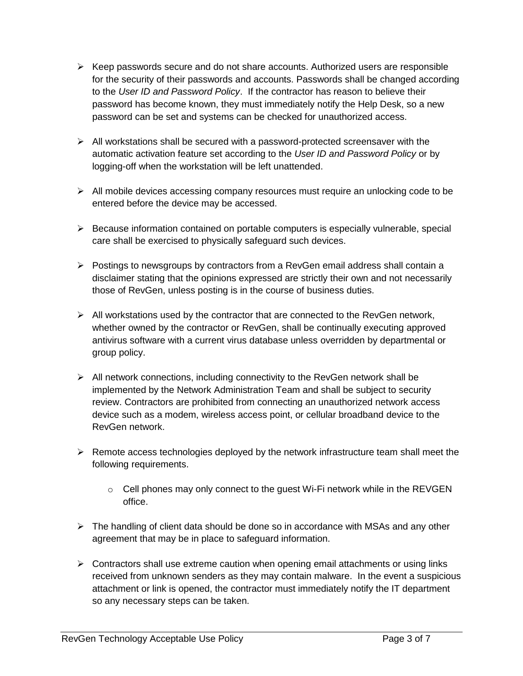- $\triangleright$  Keep passwords secure and do not share accounts. Authorized users are responsible for the security of their passwords and accounts. Passwords shall be changed according to the *User ID and Password Policy*. If the contractor has reason to believe their password has become known, they must immediately notify the Help Desk, so a new password can be set and systems can be checked for unauthorized access.
- $\triangleright$  All workstations shall be secured with a password-protected screensaver with the automatic activation feature set according to the *User ID and Password Policy* or by logging-off when the workstation will be left unattended.
- $\triangleright$  All mobile devices accessing company resources must require an unlocking code to be entered before the device may be accessed.
- ➢ Because information contained on portable computers is especially vulnerable, special care shall be exercised to physically safeguard such devices.
- $\triangleright$  Postings to newsgroups by contractors from a RevGen email address shall contain a disclaimer stating that the opinions expressed are strictly their own and not necessarily those of RevGen, unless posting is in the course of business duties.
- $\triangleright$  All workstations used by the contractor that are connected to the RevGen network, whether owned by the contractor or RevGen, shall be continually executing approved antivirus software with a current virus database unless overridden by departmental or group policy.
- $\triangleright$  All network connections, including connectivity to the RevGen network shall be implemented by the Network Administration Team and shall be subject to security review. Contractors are prohibited from connecting an unauthorized network access device such as a modem, wireless access point, or cellular broadband device to the RevGen network.
- $\triangleright$  Remote access technologies deployed by the network infrastructure team shall meet the following requirements.
	- $\circ$  Cell phones may only connect to the quest Wi-Fi network while in the REVGEN office.
- $\triangleright$  The handling of client data should be done so in accordance with MSAs and any other agreement that may be in place to safeguard information.
- $\triangleright$  Contractors shall use extreme caution when opening email attachments or using links received from unknown senders as they may contain malware. In the event a suspicious attachment or link is opened, the contractor must immediately notify the IT department so any necessary steps can be taken.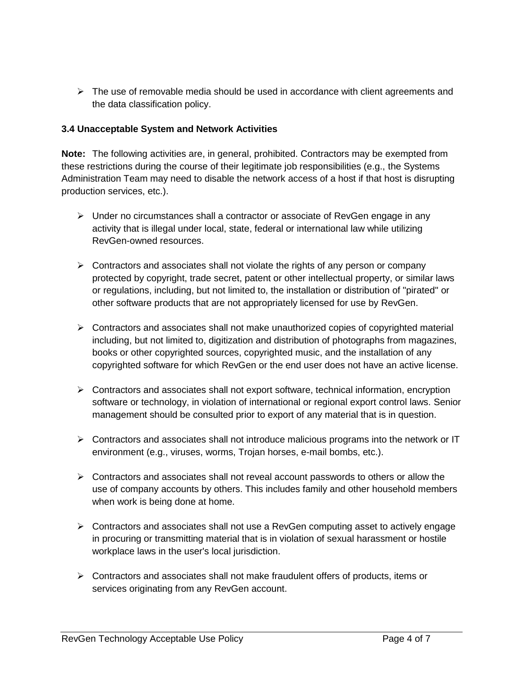$\triangleright$  The use of removable media should be used in accordance with client agreements and the data classification policy.

#### **3.4 Unacceptable System and Network Activities**

**Note:** The following activities are, in general, prohibited. Contractors may be exempted from these restrictions during the course of their legitimate job responsibilities (e.g., the Systems Administration Team may need to disable the network access of a host if that host is disrupting production services, etc.).

- ➢ Under no circumstances shall a contractor or associate of RevGen engage in any activity that is illegal under local, state, federal or international law while utilizing RevGen-owned resources.
- ➢ Contractors and associates shall not violate the rights of any person or company protected by copyright, trade secret, patent or other intellectual property, or similar laws or regulations, including, but not limited to, the installation or distribution of "pirated" or other software products that are not appropriately licensed for use by RevGen.
- ➢ Contractors and associates shall not make unauthorized copies of copyrighted material including, but not limited to, digitization and distribution of photographs from magazines, books or other copyrighted sources, copyrighted music, and the installation of any copyrighted software for which RevGen or the end user does not have an active license.
- $\triangleright$  Contractors and associates shall not export software, technical information, encryption software or technology, in violation of international or regional export control laws. Senior management should be consulted prior to export of any material that is in question.
- $\triangleright$  Contractors and associates shall not introduce malicious programs into the network or IT environment (e.g., viruses, worms, Trojan horses, e-mail bombs, etc.).
- $\triangleright$  Contractors and associates shall not reveal account passwords to others or allow the use of company accounts by others. This includes family and other household members when work is being done at home.
- $\triangleright$  Contractors and associates shall not use a RevGen computing asset to actively engage in procuring or transmitting material that is in violation of sexual harassment or hostile workplace laws in the user's local jurisdiction.
- $\triangleright$  Contractors and associates shall not make fraudulent offers of products, items or services originating from any RevGen account.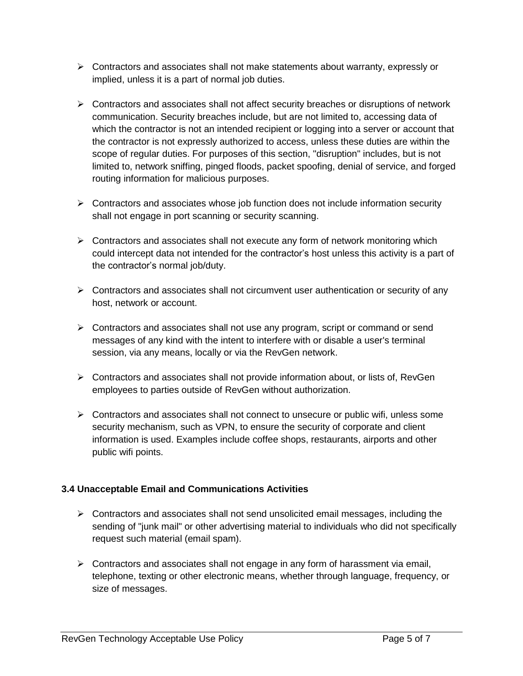- $\triangleright$  Contractors and associates shall not make statements about warranty, expressly or implied, unless it is a part of normal job duties.
- $\triangleright$  Contractors and associates shall not affect security breaches or disruptions of network communication. Security breaches include, but are not limited to, accessing data of which the contractor is not an intended recipient or logging into a server or account that the contractor is not expressly authorized to access, unless these duties are within the scope of regular duties. For purposes of this section, "disruption" includes, but is not limited to, network sniffing, pinged floods, packet spoofing, denial of service, and forged routing information for malicious purposes.
- $\triangleright$  Contractors and associates whose job function does not include information security shall not engage in port scanning or security scanning.
- ➢ Contractors and associates shall not execute any form of network monitoring which could intercept data not intended for the contractor's host unless this activity is a part of the contractor's normal job/duty.
- $\triangleright$  Contractors and associates shall not circumvent user authentication or security of any host, network or account.
- ➢ Contractors and associates shall not use any program, script or command or send messages of any kind with the intent to interfere with or disable a user's terminal session, via any means, locally or via the RevGen network.
- $\triangleright$  Contractors and associates shall not provide information about, or lists of, RevGen employees to parties outside of RevGen without authorization.
- ➢ Contractors and associates shall not connect to unsecure or public wifi, unless some security mechanism, such as VPN, to ensure the security of corporate and client information is used. Examples include coffee shops, restaurants, airports and other public wifi points.

# **3.4 Unacceptable Email and Communications Activities**

- $\triangleright$  Contractors and associates shall not send unsolicited email messages, including the sending of "junk mail" or other advertising material to individuals who did not specifically request such material (email spam).
- $\triangleright$  Contractors and associates shall not engage in any form of harassment via email, telephone, texting or other electronic means, whether through language, frequency, or size of messages.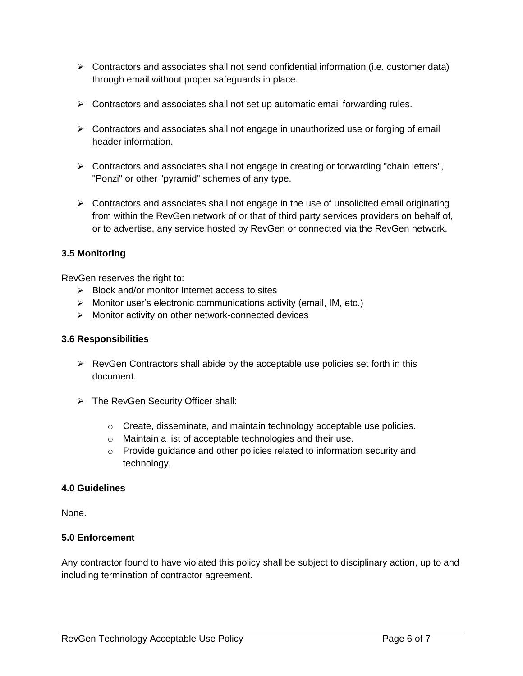- ➢ Contractors and associates shall not send confidential information (i.e. customer data) through email without proper safeguards in place.
- $\triangleright$  Contractors and associates shall not set up automatic email forwarding rules.
- $\triangleright$  Contractors and associates shall not engage in unauthorized use or forging of email header information.
- $\triangleright$  Contractors and associates shall not engage in creating or forwarding "chain letters", "Ponzi" or other "pyramid" schemes of any type.
- ➢ Contractors and associates shall not engage in the use of unsolicited email originating from within the RevGen network of or that of third party services providers on behalf of, or to advertise, any service hosted by RevGen or connected via the RevGen network.

## **3.5 Monitoring**

RevGen reserves the right to:

- ➢ Block and/or monitor Internet access to sites
- $\triangleright$  Monitor user's electronic communications activity (email, IM, etc.)
- ➢ Monitor activity on other network-connected devices

#### **3.6 Responsib**i**lities**

- $\triangleright$  RevGen Contractors shall abide by the acceptable use policies set forth in this document.
- ➢ The RevGen Security Officer shall:
	- o Create, disseminate, and maintain technology acceptable use policies.
	- o Maintain a list of acceptable technologies and their use.
	- o Provide guidance and other policies related to information security and technology.

#### **4.0 Guidelines**

None.

#### **5.0 Enforcement**

Any contractor found to have violated this policy shall be subject to disciplinary action, up to and including termination of contractor agreement.